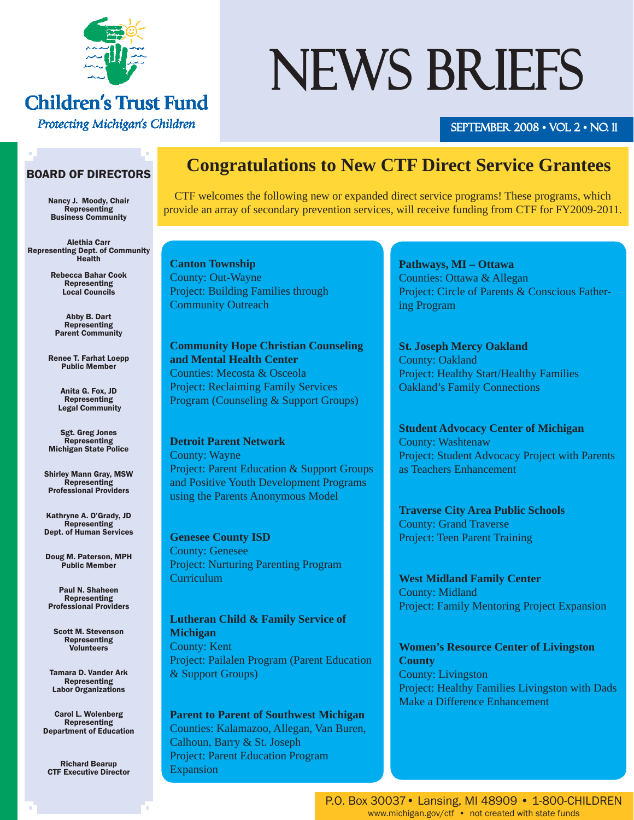

# **Children's Trust Fund**

Protecting Michigan's Children

# NEWS BRIEFS

#### SEPTEMBER 2008 • VOL 2 • NO. 11

#### BOARD OF DIRECTORS

Nancy J. Moody, Chair Representing Business Community

Alethia Carr Representing Dept. of Community Health

> Rebecca Bahar Cook Representing Local Councils

Abby B. Dart Representing Parent Community

Renee T. Farhat Loepp Public Member

> Anita G. Fox, JD Representing Legal Community

Sgt. Greg Jones Representing Michigan State Police

Shirley Mann Gray, MSW Representing Professional Providers

Kathryne A. O'Grady, JD Representing Dept. of Human Services

Doug M. Paterson, MPH Public Member

Paul N. Shaheen Representing Professional Providers

Scott M. Stevenson Representing Volunteers

Tamara D. Vander Ark Representing Labor Organizations

Carol L. Wolenberg Representing Department of Education

Richard Bearup CTF Executive Director

### **Congratulations to New CTF Direct Service Grantees**

CTF welcomes the following new or expanded direct service programs! These programs, which provide an array of secondary prevention services, will receive funding from CTF for FY2009-2011.

**Canton Township** County: Out-Wayne Project: Building Families through Community Outreach

**Community Hope Christian Counseling and Mental Health Center** Counties: Mecosta & Osceola Project: Reclaiming Family Services Program (Counseling & Support Groups)

**Detroit Parent Network** County: Wayne Project: Parent Education & Support Groups and Positive Youth Development Programs using the Parents Anonymous Model

**Genesee County ISD** County: Genesee Project: Nurturing Parenting Program **Curriculum** 

**Lutheran Child & Family Service of Michigan** County: Kent Project: Pailalen Program (Parent Education & Support Groups)

**Parent to Parent of Southwest Michigan** Counties: Kalamazoo, Allegan, Van Buren, Calhoun, Barry & St. Joseph Project: Parent Education Program Expansion

**Pathways, MI – Ottawa** Counties: Ottawa & Allegan Project: Circle of Parents & Conscious Fathering Program

**St. Joseph Mercy Oakland** County: Oakland Project: Healthy Start/Healthy Families Oakland's Family Connections

**Student Advocacy Center of Michigan** County: Washtenaw Project: Student Advocacy Project with Parents as Teachers Enhancement

**Traverse City Area Public Schools** County: Grand Traverse Project: Teen Parent Training

**West Midland Family Center** County: Midland Project: Family Mentoring Project Expansion

**Women's Resource Center of Livingston County** County: Livingston Project: Healthy Families Livingston with Dads Make a Difference Enhancement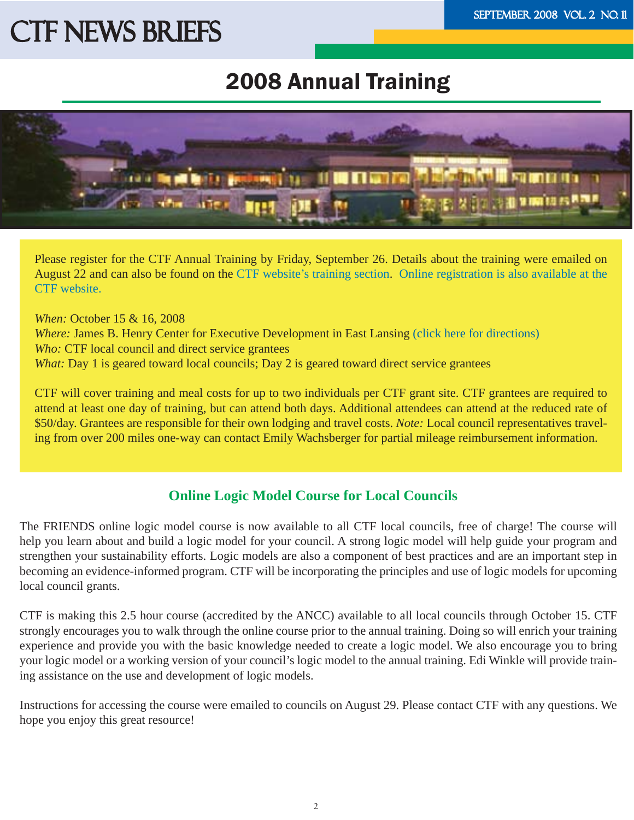## 2008 Annual Training



Please register for the CTF Annual Training by Friday, September 26. Details about the training were emailed on August 22 and can also be found on the [CTF website's training section.](http://www.michigan.gov/ctf/0,1607,7-196-47080---,00.html) [Online registration is also available at the](http://www.michigan.gov/ctf/0,1607,7-196-47080-173478--,00.html)  [CTF website.](http://www.michigan.gov/ctf/0,1607,7-196-47080-173478--,00.html) 

*When:* October 15 & 16, 2008 *Where:* James B. Henry Center for Executive Development in East Lansing [\(click here for directions\)](http://www.bus.msu.edu/edc/directions/index.cfm)  *Who:* CTF local council and direct service grantees *What:* Day 1 is geared toward local councils; Day 2 is geared toward direct service grantees

CTF will cover training and meal costs for up to two individuals per CTF grant site. CTF grantees are required to attend at least one day of training, but can attend both days. Additional attendees can attend at the reduced rate of \$50/day. Grantees are responsible for their own lodging and travel costs. *Note:* Local council representatives traveling from over 200 miles one-way can contact Emily Wachsberger for partial mileage reimbursement information.

#### **Online Logic Model Course for Local Councils**

The FRIENDS online logic model course is now available to all CTF local councils, free of charge! The course will help you learn about and build a logic model for your council. A strong logic model will help guide your program and strengthen your sustainability efforts. Logic models are also a component of best practices and are an important step in becoming an evidence-informed program. CTF will be incorporating the principles and use of logic models for upcoming local council grants.

CTF is making this 2.5 hour course (accredited by the ANCC) available to all local councils through October 15. CTF strongly encourages you to walk through the online course prior to the annual training. Doing so will enrich your training experience and provide you with the basic knowledge needed to create a logic model. We also encourage you to bring your logic model or a working version of your council's logic model to the annual training. Edi Winkle will provide training assistance on the use and development of logic models.

Instructions for accessing the course were emailed to councils on August 29. Please contact CTF with any questions. We hope you enjoy this great resource!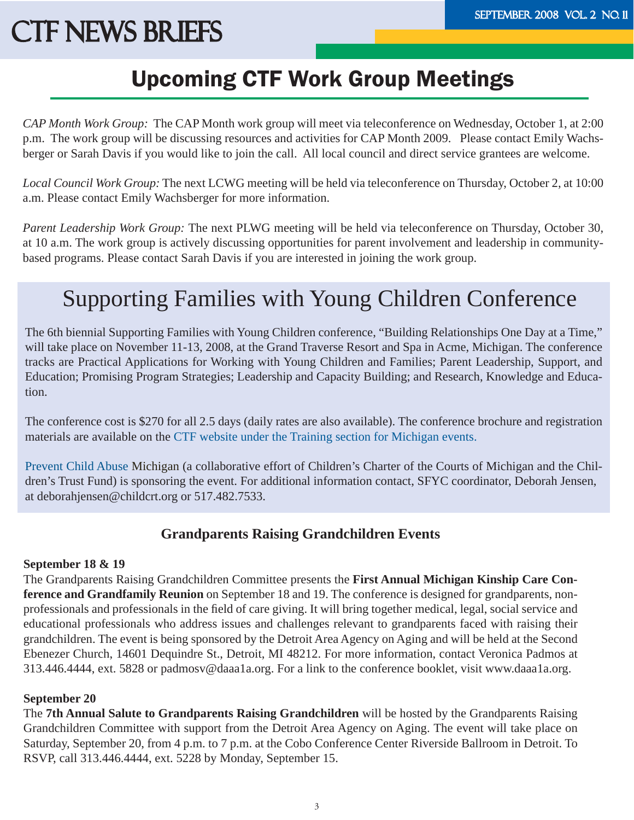# Upcoming CTF Work Group Meetings

*CAP Month Work Group:* The CAP Month work group will meet via teleconference on Wednesday, October 1, at 2:00 p.m. The work group will be discussing resources and activities for CAP Month 2009. Please contact Emily Wachsberger or Sarah Davis if you would like to join the call. All local council and direct service grantees are welcome.

*Local Council Work Group:* The next LCWG meeting will be held via teleconference on Thursday, October 2, at 10:00 a.m. Please contact Emily Wachsberger for more information.

*Parent Leadership Work Group:* The next PLWG meeting will be held via teleconference on Thursday, October 30, at 10 a.m. The work group is actively discussing opportunities for parent involvement and leadership in communitybased programs. Please contact Sarah Davis if you are interested in joining the work group.

# Supporting Families with Young Children Conference

The 6th biennial Supporting Families with Young Children conference, "Building Relationships One Day at a Time," will take place on November 11-13, 2008, at the Grand Traverse Resort and Spa in Acme, Michigan. The conference tracks are Practical Applications for Working with Young Children and Families; Parent Leadership, Support, and Education; Promising Program Strategies; Leadership and Capacity Building; and Research, Knowledge and Education.

The conference cost is \$270 for all 2.5 days (daily rates are also available). The conference brochure and registration materials are available on the [CTF website under the Training section for Michigan events.](http://www.michigan.gov/ctf/0,1607,7-196-47080-137305--,00.html) 

[Prevent Child Abuse](http://www.preventchildabuse.org/index.shtml) Michigan (a collaborative effort of Children's Charter of the Courts of Michigan and the Children's Trust Fund) is sponsoring the event. For additional information contact, SFYC coordinator, Deborah Jensen, at deborahjensen@childcrt.org or 517.482.7533.

#### **Grandparents Raising Grandchildren Events**

#### **September 18 & 19**

The Grandparents Raising Grandchildren Committee presents the **First Annual Michigan Kinship Care Conference and Grandfamily Reunion** on September 18 and 19. The conference is designed for grandparents, nonprofessionals and professionals in the field of care giving. It will bring together medical, legal, social service and educational professionals who address issues and challenges relevant to grandparents faced with raising their grandchildren. The event is being sponsored by the Detroit Area Agency on Aging and will be held at the Second Ebenezer Church, 14601 Dequindre St., Detroit, MI 48212. For more information, contact Veronica Padmos at 313.446.4444, ext. 5828 or padmosv@daaa1a.org. For a link to the conference booklet, visit www.daaa1a.org.

#### **September 20**

The **7th Annual Salute to Grandparents Raising Grandchildren** will be hosted by the Grandparents Raising Grandchildren Committee with support from the Detroit Area Agency on Aging. The event will take place on Saturday, September 20, from 4 p.m. to 7 p.m. at the Cobo Conference Center Riverside Ballroom in Detroit. To RSVP, call 313.446.4444, ext. 5228 by Monday, September 15.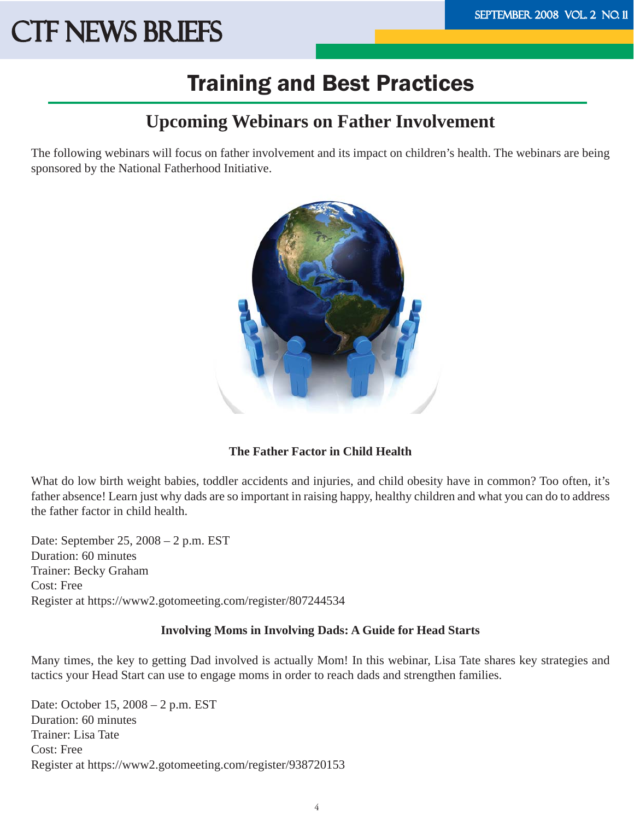### Training and Best Practices

### **Upcoming Webinars on Father Involvement**

The following webinars will focus on father involvement and its impact on children's health. The webinars are being sponsored by the National Fatherhood Initiative.



#### **The Father Factor in Child Health**

What do low birth weight babies, toddler accidents and injuries, and child obesity have in common? Too often, it's father absence! Learn just why dads are so important in raising happy, healthy children and what you can do to address the father factor in child health.

Date: September 25, 2008 – 2 p.m. EST Duration: 60 minutes Trainer: Becky Graham Cost: Free Register at https://www2.gotomeeting.com/register/807244534

#### **Involving Moms in Involving Dads: A Guide for Head Starts**

Many times, the key to getting Dad involved is actually Mom! In this webinar, Lisa Tate shares key strategies and tactics your Head Start can use to engage moms in order to reach dads and strengthen families.

Date: October 15, 2008 – 2 p.m. EST Duration: 60 minutes Trainer: Lisa Tate Cost: Free Register at https://www2.gotomeeting.com/register/938720153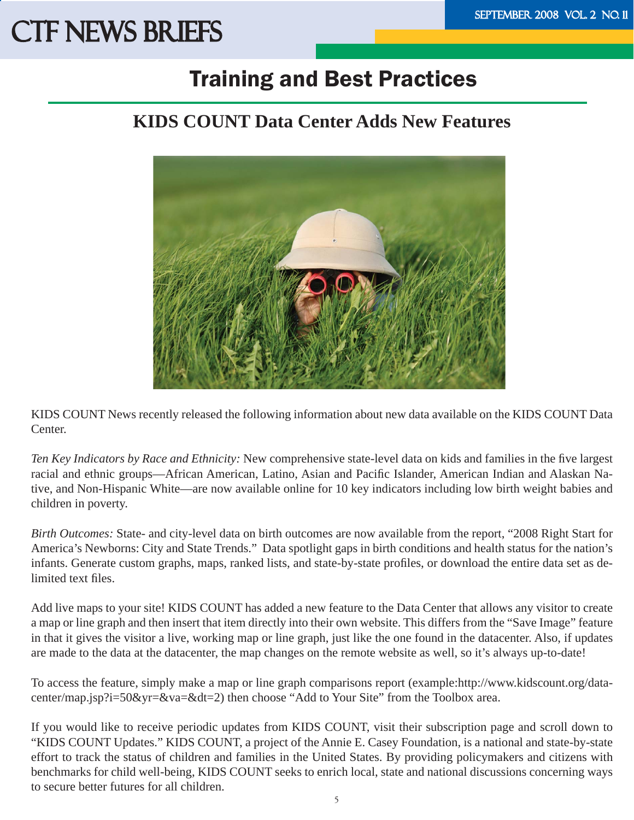### Training and Best Practices

### **KIDS COUNT Data Center Adds New Features**



KIDS COUNT News recently released the following information about new data available on the KIDS COUNT Data Center.

*Ten Key Indicators by Race and Ethnicity:* New comprehensive state-level data on kids and families in the five largest racial and ethnic groups—African American, Latino, Asian and Pacific Islander, American Indian and Alaskan Native, and Non-Hispanic White—are now available online for 10 key indicators including low birth weight babies and children in poverty.

*Birth Outcomes:* State- and city-level data on birth outcomes are now available from the report, "2008 Right Start for America's Newborns: City and State Trends." Data spotlight gaps in birth conditions and health status for the nation's infants. Generate custom graphs, maps, ranked lists, and state-by-state profiles, or download the entire data set as delimited text files.

Add live maps to your site! KIDS COUNT has added a new feature to the Data Center that allows any visitor to create a map or line graph and then insert that item directly into their own website. This differs from the "Save Image" feature in that it gives the visitor a live, working map or line graph, just like the one found in the datacenter. Also, if updates are made to the data at the datacenter, the map changes on the remote website as well, so it's always up-to-date!

To access the feature, simply make a map or line graph comparisons report[\(example:http://www.kidscount.org/data](http://www.kidscount.org/datacenter/)[center/map.jsp?i=50&yr=&va=&dt=2\)](http://www.kidscount.org/datacenter/)then choose "Add to Your Site" from the Toolbox area.

If you would like to receive periodic updates from KIDS COUNT, visit their subscription page and scroll down to "KIDS COUNT Updates." KIDS COUNT, a project of the Annie E. Casey Foundation, is a national and state-by-state effort to track the status of children and families in the United States. By providing policymakers and citizens with benchmarks for child well-being, KIDS COUNT seeks to enrich local, state and national discussions concerning ways to secure better futures for all children.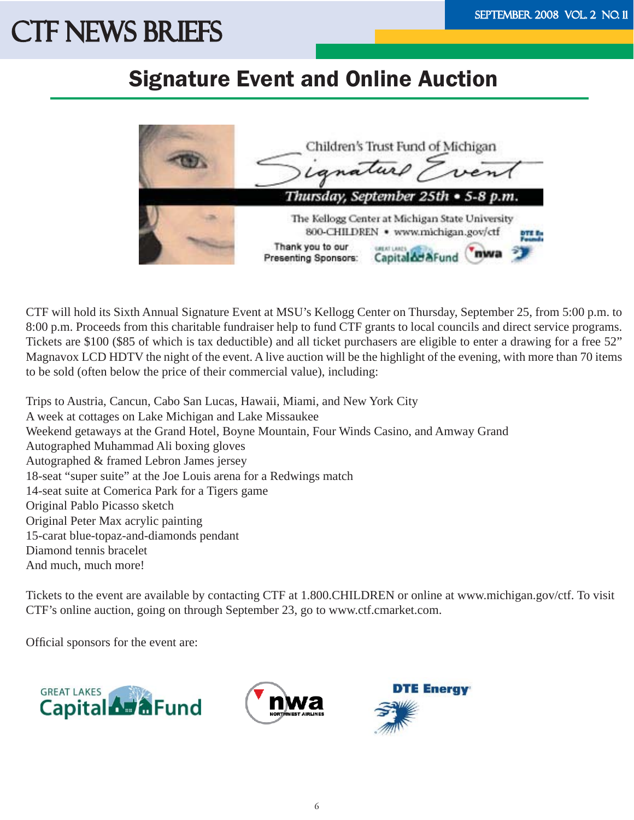### Signature Event and Online Auction



CTF will hold its Sixth Annual Signature Event at MSU's Kellogg Center on Thursday, September 25, from 5:00 p.m. to 8:00 p.m. Proceeds from this charitable fundraiser help to fund CTF grants to local councils and direct service programs. Tickets are \$100 (\$85 of which is tax deductible) and all ticket purchasers are eligible to enter a drawing for a free 52" Magnavox LCD HDTV the night of the event. A live auction will be the highlight of the evening, with more than 70 items to be sold (often below the price of their commercial value), including:

Trips to Austria, Cancun, Cabo San Lucas, Hawaii, Miami, and New York City A week at cottages on Lake Michigan and Lake Missaukee Weekend getaways at the Grand Hotel, Boyne Mountain, Four Winds Casino, and Amway Grand Autographed Muhammad Ali boxing gloves Autographed & framed Lebron James jersey 18-seat "super suite" at the Joe Louis arena for a Redwings match 14-seat suite at Comerica Park for a Tigers game Original Pablo Picasso sketch Original Peter Max acrylic painting 15-carat blue-topaz-and-diamonds pendant Diamond tennis bracelet And much, much more!

Tickets to the event are available by contacting CTF at 1.800.CHILDREN or online at www.michigan.gov/ctf. To visit CTF's online auction, going on through September 23, go to www.ctf.cmarket.com.

Official sponsors for the event are:





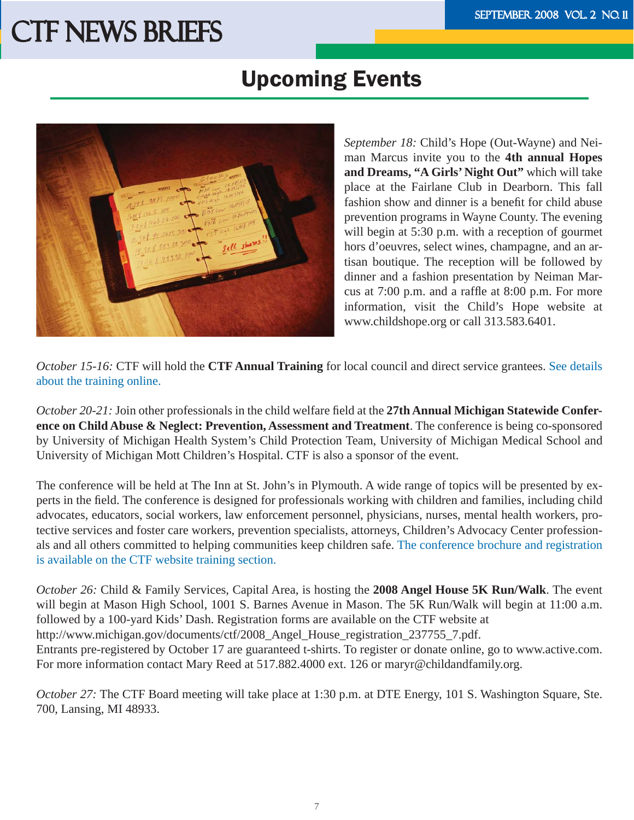### Upcoming Events



 *September 18:* Child's Hope (Out-Wayne) and Neiman Marcus invite you to the **4th annual Hopes**  and Dreams, "A Girls' Night Out" which will take place at the Fairlane Club in Dearborn. This fall fashion show and dinner is a benefit for child abuse prevention programs in Wayne County. The evening will begin at 5:30 p.m. with a reception of gourmet hors d'oeuvres, select wines, champagne, and an artisan boutique. The reception will be followed by dinner and a fashion presentation by Neiman Marcus at  $7:00$  p.m. and a raffle at  $8:00$  p.m. For more information, visit the Child's Hope website at www.childshope.org or call 313.583.6401.

*October 15-16:* CTF will hold the **CTF Annual Training** for local council and direct service grantees. [See details](http://www.michigan.gov/documents/ctf/Registration_Fall_Training_07_205493_7.pdf)  [about the training online.](http://www.michigan.gov/documents/ctf/Registration_Fall_Training_07_205493_7.pdf)

*October 20-21:* Join other professionals in the child welfare field at the 27th Annual Michigan Statewide Confer**ence on Child Abuse & Neglect: Prevention, Assessment and Treatment**. The conference is being co-sponsored by University of Michigan Health System's Child Protection Team, University of Michigan Medical School and University of Michigan Mott Children's Hospital. CTF is also a sponsor of the event.

The conference will be held at The Inn at St. John's in Plymouth. A wide range of topics will be presented by experts in the field. The conference is designed for professionals working with children and families, including child advocates, educators, social workers, law enforcement personnel, physicians, nurses, mental health workers, protective services and foster care workers, prevention specialists, attorneys, Children's Advocacy Center professionals and all others committed to helping communities keep children safe. [The conference brochure and registration](http://www.michigan.gov/documents/ctf/CAN_brochure_08_245400_7.pdf)  [is available on the CTF website training section.](http://www.michigan.gov/documents/ctf/CAN_brochure_08_245400_7.pdf)

*October 26:* Child & Family Services, Capital Area, is hosting the **2008 Angel House 5K Run/Walk**. The event will begin at Mason High School, 1001 S. Barnes Avenue in Mason. The 5K Run/Walk will begin at 11:00 a.m. followed by a 100-yard Kids' Dash. Registration forms are available on the CTF website at http://www.michigan.gov/documents/ctf/2008\_Angel\_House\_registration\_237755\_7.pdf. Entrants pre-registered by October 17 are guaranteed t-shirts. To register or donate online, go to www.active.com. For more information contact Mary Reed at 517.882.4000 ext. 126 or maryr@childandfamily.org.

*October 27:* The CTF Board meeting will take place at 1:30 p.m. at DTE Energy, 101 S. Washington Square, Ste. 700, Lansing, MI 48933.